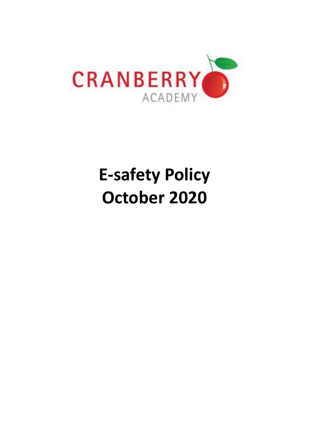

# **E-safety Policy October 2020**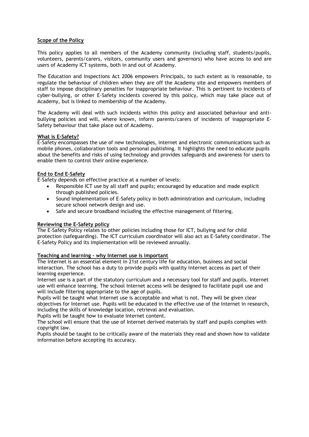#### **Scope of the Policy**

This policy applies to all members of the Academy community (including staff, students/pupils, volunteers, parents/carers, visitors, community users and governors) who have access to and are users of Academy ICT systems, both in and out of Academy.

The Education and Inspections Act 2006 empowers Principals, to such extent as is reasonable, to regulate the behaviour of children when they are off the Academy site and empowers members of staff to impose disciplinary penalties for inappropriate behaviour. This is pertinent to incidents of cyber-bullying, or other E-Safety incidents covered by this policy, which may take place out of Academy, but is linked to membership of the Academy.

The Academy will deal with such incidents within this policy and associated behaviour and antibullying policies and will, where known, inform parents/carers of incidents of inappropriate E-Safety behaviour that take place out of Academy.

#### **What is E-Safety?**

E-Safety encompasses the use of new technologies, internet and electronic communications such as mobile phones, collaboration tools and personal publishing. It highlights the need to educate pupils about the benefits and risks of using technology and provides safeguards and awareness for users to enable them to control their online experience.

#### **End to End E-Safety**

E-Safety depends on effective practice at a number of levels:

- Responsible ICT use by all staff and pupils; encouraged by education and made explicit through published policies.
- Sound implementation of E-Safety policy in both administration and curriculum, including secure school network design and use.
- Safe and secure broadband including the effective management of filtering.

# **Reviewing the E-Safety policy**

The E-Safety Policy relates to other policies including those for ICT, bullying and for child protection (safeguarding). The ICT curriculum coordinator will also act as E-Safety coordinator. The E-Safety Policy and its implementation will be reviewed annually.

# **Teaching and learning - why Internet use is important**

The Internet is an essential element in 21st century life for education, business and social interaction. The school has a duty to provide pupils with quality Internet access as part of their learning experience.

Internet use is a part of the statutory curriculum and a necessary tool for staff and pupils. Internet use will enhance learning. The school Internet access will be designed to facilitate pupil use and will include filtering appropriate to the age of pupils.

Pupils will be taught what Internet use is acceptable and what is not. They will be given clear objectives for Internet use. Pupils will be educated in the effective use of the Internet in research, including the skills of knowledge location, retrieval and evaluation.

Pupils will be taught how to evaluate Internet content.

The school will ensure that the use of Internet derived materials by staff and pupils complies with copyright law.

Pupils should be taught to be critically aware of the materials they read and shown how to validate information before accepting its accuracy.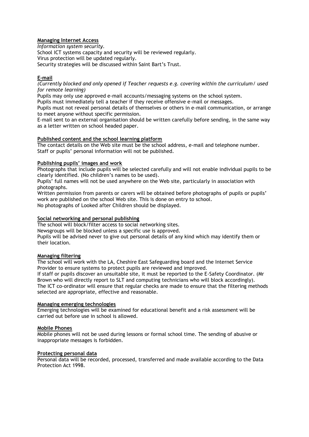#### **Managing Internet Access**

*Information system security.* School ICT systems capacity and security will be reviewed regularly. Virus protection will be updated regularly. Security strategies will be discussed within Saint Bart's Trust.

# **E-mail**

*(Currently blocked and only opened if Teacher requests e.g. covering within the curriculum/ used for remote learning)*

Pupils may only use approved e-mail accounts/messaging systems on the school system.

Pupils must immediately tell a teacher if they receive offensive e-mail or messages.

Pupils must not reveal personal details of themselves or others in e-mail communication, or arrange to meet anyone without specific permission.

E-mail sent to an external organisation should be written carefully before sending, in the same way as a letter written on school headed paper.

#### **Published content and the school learning platform**

The contact details on the Web site must be the school address, e-mail and telephone number. Staff or pupils' personal information will not be published.

#### **Publishing pupils' images and work**

Photographs that include pupils will be selected carefully and will not enable individual pupils to be clearly identified. (No children's names to be used).

Pupils' full names will not be used anywhere on the Web site, particularly in association with photographs.

Written permission from parents or carers will be obtained before photographs of pupils or pupils' work are published on the school Web site. This is done on entry to school. No photographs of Looked after Children should be displayed.

### **Social networking and personal publishing**

The school will block/filter access to social networking sites.

Newsgroups will be blocked unless a specific use is approved.

Pupils will be advised never to give out personal details of any kind which may identify them or their location.

# **Managing filtering**

The school will work with the LA, Cheshire East Safeguarding board and the Internet Service Provider to ensure systems to protect pupils are reviewed and improved. If staff or pupils discover an unsuitable site, it must be reported to the E-Safety Coordinator. (Mr Brown who will directly report to SLT and computing technicians who will block accordingly). The ICT co-ordinator will ensure that regular checks are made to ensure that the filtering methods selected are appropriate, effective and reasonable.

#### **Managing emerging technologies**

Emerging technologies will be examined for educational benefit and a risk assessment will be carried out before use in school is allowed.

# **Mobile Phones**

Mobile phones will not be used during lessons or formal school time. The sending of abusive or inappropriate messages is forbidden.

#### **Protecting personal data**

Personal data will be recorded, processed, transferred and made available according to the Data Protection Act 1998.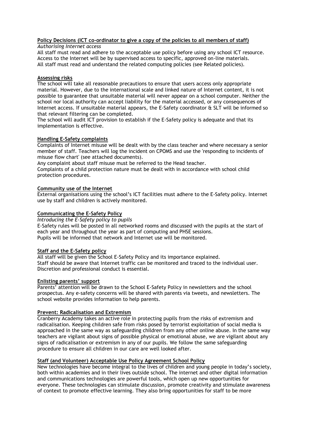#### **Policy Decisions (ICT co-ordinator to give a copy of the policies to all members of staff)** *Authorising Internet access*

All staff must read and adhere to the acceptable use policy before using any school ICT resource. Access to the Internet will be by supervised access to specific, approved on-line materials. All staff must read and understand the related computing policies (see Related policies).

# **Assessing risks**

The school will take all reasonable precautions to ensure that users access only appropriate material. However, due to the international scale and linked nature of Internet content, it is not possible to guarantee that unsuitable material will never appear on a school computer. Neither the school nor local authority can accept liability for the material accessed, or any consequences of Internet access. If unsuitable material appears, the E-Safety coordinator & SLT will be informed so that relevant filtering can be completed.

The school will audit ICT provision to establish if the E-Safety policy is adequate and that its implementation is effective.

# **Handling E-Safety complaints**

Complaints of Internet misuse will be dealt with by the class teacher and where necessary a senior member of staff. Teachers will log the incident on CPOMS and use the 'responding to incidents of misuse flow chart' (see attached documents).

Any complaint about staff misuse must be referred to the Head teacher.

Complaints of a child protection nature must be dealt with in accordance with school child protection procedures.

# **Community use of the Internet**

External organisations using the school's ICT facilities must adhere to the E-Safety policy. Internet use by staff and children is actively monitored.

# **Communicating the E-Safety Policy**

*Introducing the E-Safety policy to pupils*

E-Safety rules will be posted in all networked rooms and discussed with the pupils at the start of each year and throughout the year as part of computing and PHSE sessions. Pupils will be informed that network and Internet use will be monitored.

# **Staff and the E-Safety policy**

All staff will be given the School E-Safety Policy and its importance explained. Staff should be aware that Internet traffic can be monitored and traced to the individual user. Discretion and professional conduct is essential.

# **Enlisting parents' support**

Parents' attention will be drawn to the School E-Safety Policy in newsletters and the school prospectus. Any e-safety concerns will be shared with parents via tweets, and newsletters. The school website provides information to help parents.

# **Prevent: Radicalisation and Extremism**

Cranberry Academy takes an active role in protecting pupils from the risks of extremism and radicalisation. Keeping children safe from risks posed by terrorist exploitation of social media is approached in the same way as safeguarding children from any other online abuse. In the same way teachers are vigilant about signs of possible physical or emotional abuse, we are vigilant about any signs of radicalisation or extremism in any of our pupils. We follow the same safeguarding procedure to ensure all children in our care are well looked after.

# **Staff (and Volunteer) Acceptable Use Policy Agreement School Policy**

New technologies have become integral to the lives of children and young people in today's society, both within academies and in their lives outside school. The internet and other digital information and communications technologies are powerful tools, which open up new opportunities for everyone. These technologies can stimulate discussion, promote creativity and stimulate awareness of context to promote effective learning. They also bring opportunities for staff to be more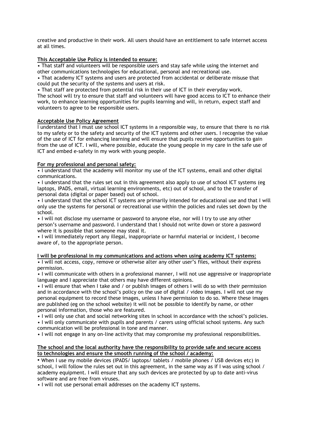creative and productive in their work. All users should have an entitlement to safe internet access at all times.

# **This Acceptable Use Policy is intended to ensure:**

• That staff and volunteers will be responsible users and stay safe while using the internet and other communications technologies for educational, personal and recreational use.

• That academy ICT systems and users are protected from accidental or deliberate misuse that could put the security of the systems and users at risk.

• That staff are protected from potential risk in their use of ICT in their everyday work.

The school will try to ensure that staff and volunteers will have good access to ICT to enhance their work, to enhance learning opportunities for pupils learning and will, in return, expect staff and volunteers to agree to be responsible users.

#### **Acceptable Use Policy Agreement**

I understand that I must use school ICT systems in a responsible way, to ensure that there is no risk to my safety or to the safety and security of the ICT systems and other users. I recognise the value of the use of ICT for enhancing learning and will ensure that pupils receive opportunities to gain from the use of ICT. I will, where possible, educate the young people in my care in the safe use of ICT and embed e-safety in my work with young people.

# **For my professional and personal safety:**

• I understand that the academy will monitor my use of the ICT systems, email and other digital communications.

• I understand that the rules set out in this agreement also apply to use of school ICT systems (eg laptops, IPADS, email, virtual learning environments, etc) out of school, and to the transfer of personal data (digital or paper based) out of school.

• I understand that the school ICT systems are primarily intended for educational use and that I will only use the systems for personal or recreational use within the policies and rules set down by the school.

• I will not disclose my username or password to anyone else, nor will I try to use any other person's username and password. I understand that I should not write down or store a password where it is possible that someone may steal it.

• I will immediately report any illegal, inappropriate or harmful material or incident, I become aware of, to the appropriate person.

# **I will be professional in my communications and actions when using academy ICT systems:**

• I will not access, copy, remove or otherwise alter any other user's files, without their express permission.

• I will communicate with others in a professional manner, I will not use aggressive or inappropriate language and I appreciate that others may have different opinions.

• I will ensure that when I take and / or publish images of others I will do so with their permission and in accordance with the school's policy on the use of digital / video images. I will not use my personal equipment to record these images, unless I have permission to do so. Where these images are published (eg on the school website) it will not be possible to identify by name, or other personal information, those who are featured.

• I will only use chat and social networking sites in school in accordance with the school's policies.

• I will only communicate with pupils and parents / carers using official school systems. Any such communication will be professional in tone and manner.

• I will not engage in any on-line activity that may compromise my professional responsibilities.

#### **The school and the local authority have the responsibility to provide safe and secure access to technologies and ensure the smooth running of the school / academy:**

• When I use my mobile devices (IPADS/ laptops/ tablets / mobile phones / USB devices etc) in school, I will follow the rules set out in this agreement, in the same way as if I was using school / academy equipment. I will ensure that any such devices are protected by up to date anti-virus software and are free from viruses.

• I will not use personal email addresses on the academy ICT systems.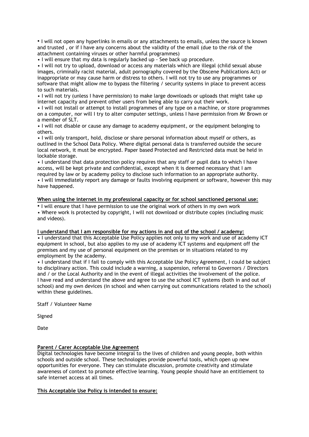• I will not open any hyperlinks in emails or any attachments to emails, unless the source is known and trusted , or if I have any concerns about the validity of the email (due to the risk of the attachment containing viruses or other harmful programmes)

• I will ensure that my data is regularly backed up - See back up procedure.

• I will not try to upload, download or access any materials which are illegal (child sexual abuse images, criminally racist material, adult pornography covered by the Obscene Publications Act) or inappropriate or may cause harm or distress to others. I will not try to use any programmes or software that might allow me to bypass the filtering / security systems in place to prevent access to such materials.

• I will not try (unless I have permission) to make large downloads or uploads that might take up internet capacity and prevent other users from being able to carry out their work.

• I will not install or attempt to install programmes of any type on a machine, or store programmes on a computer, nor will I try to alter computer settings, unless I have permission from Mr Brown or a member of SLT.

• I will not disable or cause any damage to academy equipment, or the equipment belonging to others.

• I will only transport, hold, disclose or share personal information about myself or others, as outlined in the School Data Policy. Where digital personal data is transferred outside the secure local network, it must be encrypted. Paper based Protected and Restricted data must be held in lockable storage.

• I understand that data protection policy requires that any staff or pupil data to which I have access, will be kept private and confidential, except when it is deemed necessary that I am required by law or by academy policy to disclose such information to an appropriate authority. • I will immediately report any damage or faults involving equipment or software, however this may

have happened.

#### **When using the internet in my professional capacity or for school sanctioned personal use:**

• I will ensure that I have permission to use the original work of others in my own work

• Where work is protected by copyright, I will not download or distribute copies (including music and videos).

#### **I understand that I am responsible for my actions in and out of the school / academy:**

• I understand that this Acceptable Use Policy applies not only to my work and use of academy ICT equipment in school, but also applies to my use of academy ICT systems and equipment off the premises and my use of personal equipment on the premises or in situations related to my employment by the academy.

• I understand that if I fail to comply with this Acceptable Use Policy Agreement, I could be subject to disciplinary action. This could include a warning, a suspension, referral to Governors / Directors and / or the Local Authority and in the event of illegal activities the involvement of the police. I have read and understand the above and agree to use the school ICT systems (both in and out of school) and my own devices (in school and when carrying out communications related to the school) within these guidelines.

Staff / Volunteer Name

Signed

Date

#### **Parent / Carer Acceptable Use Agreement**

Digital technologies have become integral to the lives of children and young people, both within schools and outside school. These technologies provide powerful tools, which open up new opportunities for everyone. They can stimulate discussion, promote creativity and stimulate awareness of context to promote effective learning. Young people should have an entitlement to safe internet access at all times.

### **This Acceptable Use Policy is intended to ensure:**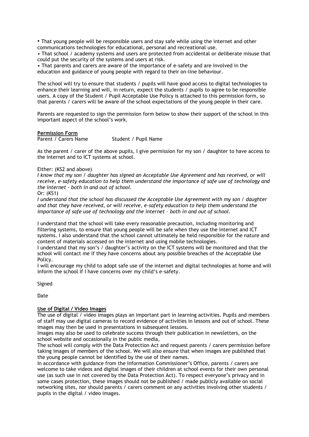• That young people will be responsible users and stay safe while using the internet and other communications technologies for educational, personal and recreational use.

• That school / academy systems and users are protected from accidental or deliberate misuse that could put the security of the systems and users at risk.

• That parents and carers are aware of the importance of e-safety and are involved in the education and guidance of young people with regard to their on-line behaviour.

The school will try to ensure that students / pupils will have good access to digital technologies to enhance their learning and will, in return, expect the students / pupils to agree to be responsible users. A copy of the Student / Pupil Acceptable Use Policy is attached to this permission form, so that parents / carers will be aware of the school expectations of the young people in their care.

Parents are requested to sign the permission form below to show their support of the school in this important aspect of the school's work.

**Permission Form**<br>Parent / Carers Name Student / Pupil Name

As the parent / carer of the above pupils, I give permission for my son / daughter to have access to the internet and to ICT systems at school.

#### Either: (KS2 and above)

*I know that my son / daughter has signed an Acceptable Use Agreement and has received, or will receive, e-safety education to help them understand the importance of safe use of technology and the internet – both in and out of school.*

Or: (KS1)

*I understand that the school has discussed the Acceptable Use Agreement with my son / daughter and that they have received, or will receive, e-safety education to help them understand the importance of safe use of technology and the internet - both in and out of school.* 

I understand that the school will take every reasonable precaution, including monitoring and filtering systems, to ensure that young people will be safe when they use the internet and ICT systems. I also understand that the school cannot ultimately be held responsible for the nature and content of materials accessed on the internet and using mobile technologies.

I understand that my son's / daughter's activity on the ICT systems will be monitored and that the school will contact me if they have concerns about any possible breaches of the Acceptable Use Policy.

I will encourage my child to adopt safe use of the internet and digital technologies at home and will inform the school if I have concerns over my child's e-safety.

Signed

Date

#### **Use of Digital / Video Images**

The use of digital / video images plays an important part in learning activities. Pupils and members of staff may use digital cameras to record evidence of activities in lessons and out of school. These images may then be used in presentations in subsequent lessons.

Images may also be used to celebrate success through their publication in newsletters, on the school website and occasionally in the public media,

The school will comply with the Data Protection Act and request parents / carers permission before taking images of members of the school. We will also ensure that when images are published that the young people cannot be identified by the use of their names.

In accordance with guidance from the Information Commissioner's Office, parents / carers are welcome to take videos and digital images of their children at school events for their own personal use (as such use in not covered by the Data Protection Act). To respect everyone's privacy and in some cases protection, these images should not be published / made publicly available on social networking sites, nor should parents / carers comment on any activities involving other students / pupils in the digital / video images.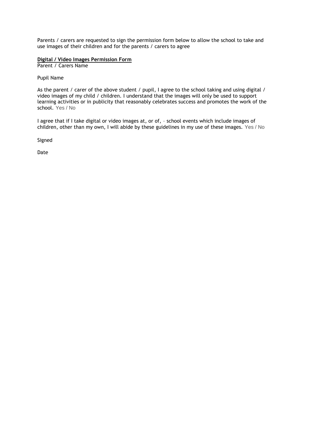Parents / carers are requested to sign the permission form below to allow the school to take and use images of their children and for the parents / carers to agree

#### **Digital / Video Images Permission Form**

Parent / Carers Name

Pupil Name

As the parent / carer of the above student / pupil, I agree to the school taking and using digital / video images of my child / children. I understand that the images will only be used to support learning activities or in publicity that reasonably celebrates success and promotes the work of the school. Yes / No

I agree that if I take digital or video images at, or of, – school events which include images of children, other than my own, I will abide by these guidelines in my use of these images. Yes / No

Signed

Date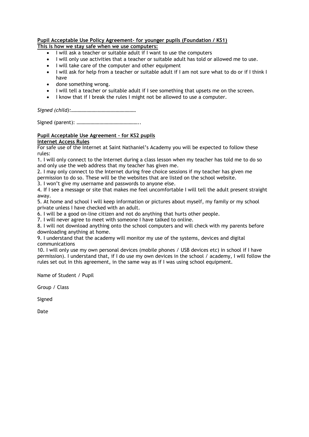# **Pupil Acceptable Use Policy Agreement– for younger pupils (Foundation / KS1)**

**This is how we stay safe when we use computers:**

- I will ask a teacher or suitable adult if I want to use the computers
- I will only use activities that a teacher or suitable adult has told or allowed me to use.
- I will take care of the computer and other equipment
- I will ask for help from a teacher or suitable adult if I am not sure what to do or if I think I have
- done something wrong.
- I will tell a teacher or suitable adult if I see something that upsets me on the screen.
- I know that if I break the rules I might not be allowed to use a computer.

*Signed (child):……………………………………………*

Signed (parent): …………………………………………..

**Pupil Acceptable Use Agreement – for KS2 pupils**

**Internet Access Rules**

For safe use of the Internet at Saint Nathaniel's Academy you will be expected to follow these rules:

1. I will only connect to the Internet during a class lesson when my teacher has told me to do so and only use the web address that my teacher has given me.

2. I may only connect to the Internet during free choice sessions if my teacher has given me permission to do so. These will be the websites that are listed on the school website.

3. I won't give my username and passwords to anyone else.

4. If I see a message or site that makes me feel uncomfortable I will tell the adult present straight away.

5. At home and school I will keep information or pictures about myself, my family or my school private unless I have checked with an adult.

6. I will be a good on-line citizen and not do anything that hurts other people.

7. I will never agree to meet with someone I have talked to online.

8. I will not download anything onto the school computers and will check with my parents before downloading anything at home.

9. I understand that the academy will monitor my use of the systems, devices and digital communications

10. I will only use my own personal devices (mobile phones / USB devices etc) in school if I have permission). I understand that, if I do use my own devices in the school / academy, I will follow the rules set out in this agreement, in the same way as if I was using school equipment.

Name of Student / Pupil

Group / Class

Signed

Date